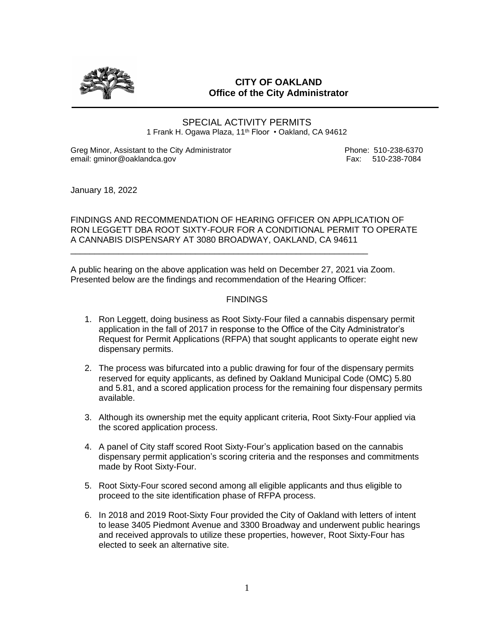

## **CITY OF OAKLAND Office of the City Administrator**

SPECIAL ACTIVITY PERMITS 1 Frank H. Ogawa Plaza, 11<sup>th</sup> Floor • Oakland, CA 94612

Greg Minor, Assistant to the City Administrator **Phone: 510-238-6370** email: gminor@oaklandca.gov etc. https://www.fax: 510-238-7084

January 18, 2022

FINDINGS AND RECOMMENDATION OF HEARING OFFICER ON APPLICATION OF RON LEGGETT DBA ROOT SIXTY-FOUR FOR A CONDITIONAL PERMIT TO OPERATE A CANNABIS DISPENSARY AT 3080 BROADWAY, OAKLAND, CA 94611

A public hearing on the above application was held on December 27, 2021 via Zoom. Presented below are the findings and recommendation of the Hearing Officer:

\_\_\_\_\_\_\_\_\_\_\_\_\_\_\_\_\_\_\_\_\_\_\_\_\_\_\_\_\_\_\_\_\_\_\_\_\_\_\_\_\_\_\_\_\_\_\_\_\_\_\_\_\_\_\_\_\_\_\_\_\_\_

## FINDINGS

- 1. Ron Leggett, doing business as Root Sixty-Four filed a cannabis dispensary permit application in the fall of 2017 in response to the Office of the City Administrator's Request for Permit Applications (RFPA) that sought applicants to operate eight new dispensary permits.
- 2. The process was bifurcated into a public drawing for four of the dispensary permits reserved for equity applicants, as defined by Oakland Municipal Code (OMC) 5.80 and 5.81, and a scored application process for the remaining four dispensary permits available.
- 3. Although its ownership met the equity applicant criteria, Root Sixty-Four applied via the scored application process.
- 4. A panel of City staff scored Root Sixty-Four's application based on the cannabis dispensary permit application's scoring criteria and the responses and commitments made by Root Sixty-Four.
- 5. Root Sixty-Four scored second among all eligible applicants and thus eligible to proceed to the site identification phase of RFPA process.
- 6. In 2018 and 2019 Root-Sixty Four provided the City of Oakland with letters of intent to lease 3405 Piedmont Avenue and 3300 Broadway and underwent public hearings and received approvals to utilize these properties, however, Root Sixty-Four has elected to seek an alternative site.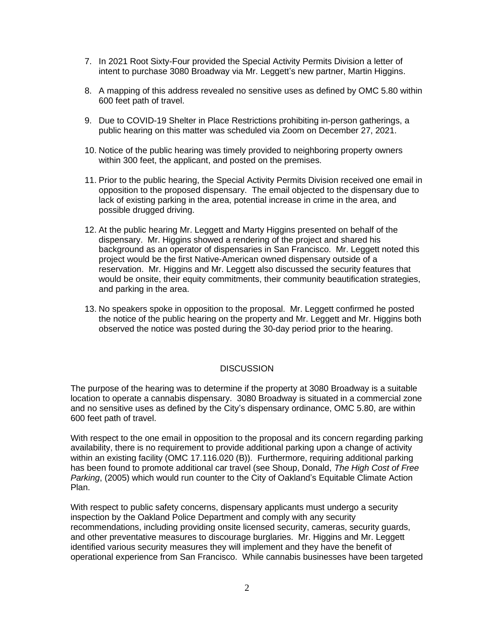- 7. In 2021 Root Sixty-Four provided the Special Activity Permits Division a letter of intent to purchase 3080 Broadway via Mr. Leggett's new partner, Martin Higgins.
- 8. A mapping of this address revealed no sensitive uses as defined by OMC 5.80 within 600 feet path of travel.
- 9. Due to COVID-19 Shelter in Place Restrictions prohibiting in-person gatherings, a public hearing on this matter was scheduled via Zoom on December 27, 2021.
- 10. Notice of the public hearing was timely provided to neighboring property owners within 300 feet, the applicant, and posted on the premises.
- 11. Prior to the public hearing, the Special Activity Permits Division received one email in opposition to the proposed dispensary. The email objected to the dispensary due to lack of existing parking in the area, potential increase in crime in the area, and possible drugged driving.
- 12. At the public hearing Mr. Leggett and Marty Higgins presented on behalf of the dispensary. Mr. Higgins showed a rendering of the project and shared his background as an operator of dispensaries in San Francisco. Mr. Leggett noted this project would be the first Native-American owned dispensary outside of a reservation. Mr. Higgins and Mr. Leggett also discussed the security features that would be onsite, their equity commitments, their community beautification strategies, and parking in the area.
- 13. No speakers spoke in opposition to the proposal. Mr. Leggett confirmed he posted the notice of the public hearing on the property and Mr. Leggett and Mr. Higgins both observed the notice was posted during the 30-day period prior to the hearing.

## **DISCUSSION**

The purpose of the hearing was to determine if the property at 3080 Broadway is a suitable location to operate a cannabis dispensary. 3080 Broadway is situated in a commercial zone and no sensitive uses as defined by the City's dispensary ordinance, OMC 5.80, are within 600 feet path of travel.

With respect to the one email in opposition to the proposal and its concern regarding parking availability, there is no requirement to provide additional parking upon a change of activity within an existing facility (OMC 17.116.020 (B)). Furthermore, requiring additional parking has been found to promote additional car travel (see Shoup, Donald, *The High Cost of Free Parking*, (2005) which would run counter to the City of Oakland's Equitable Climate Action Plan.

With respect to public safety concerns, dispensary applicants must undergo a security inspection by the Oakland Police Department and comply with any security recommendations, including providing onsite licensed security, cameras, security guards, and other preventative measures to discourage burglaries. Mr. Higgins and Mr. Leggett identified various security measures they will implement and they have the benefit of operational experience from San Francisco. While cannabis businesses have been targeted